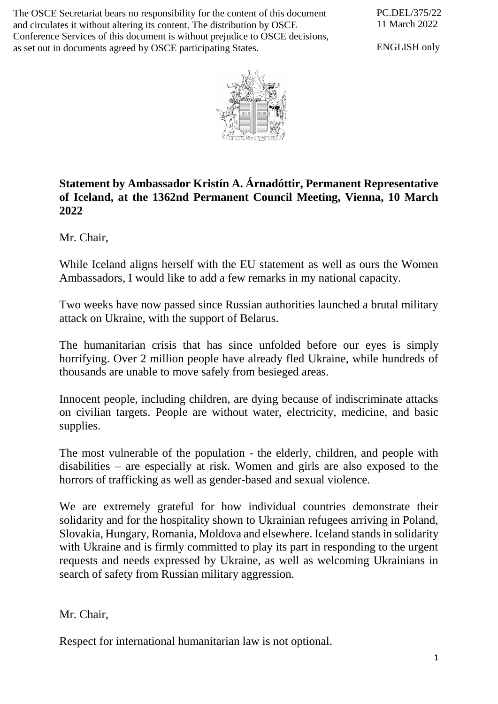The OSCE Secretariat bears no responsibility for the content of this document and circulates it without altering its content. The distribution by OSCE Conference Services of this document is without prejudice to OSCE decisions, as set out in documents agreed by OSCE participating States.

PC.DEL/375/22 11 March 2022

ENGLISH only



## **Statement by Ambassador Kristín A. Árnadóttir, Permanent Representative of Iceland, at the 1362nd Permanent Council Meeting, Vienna, 10 March 2022**

Mr. Chair,

While Iceland aligns herself with the EU statement as well as ours the Women Ambassadors, I would like to add a few remarks in my national capacity.

Two weeks have now passed since Russian authorities launched a brutal military attack on Ukraine, with the support of Belarus.

The humanitarian crisis that has since unfolded before our eyes is simply horrifying. Over 2 million people have already fled Ukraine, while hundreds of thousands are unable to move safely from besieged areas.

Innocent people, including children, are dying because of indiscriminate attacks on civilian targets. People are without water, electricity, medicine, and basic supplies.

The most vulnerable of the population - the elderly, children, and people with disabilities – are especially at risk. Women and girls are also exposed to the horrors of trafficking as well as gender-based and sexual violence.

We are extremely grateful for how individual countries demonstrate their solidarity and for the hospitality shown to Ukrainian refugees arriving in Poland, Slovakia, Hungary, Romania, Moldova and elsewhere. Iceland stands in solidarity with Ukraine and is firmly committed to play its part in responding to the urgent requests and needs expressed by Ukraine, as well as welcoming Ukrainians in search of safety from Russian military aggression.

Mr. Chair,

Respect for international humanitarian law is not optional.